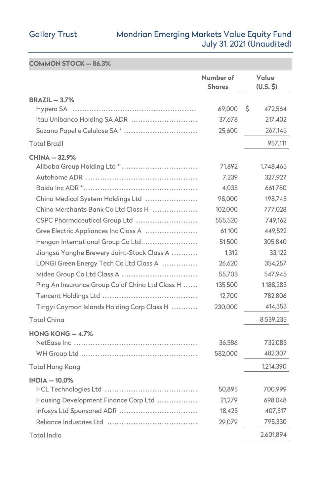# Gallery Trust Mondrian Emerging Markets Value Equity Fund July 31, 2021 (Unaudited)

**COMMON STOCK — 86.3%** 

|                                                 | Number of<br><b>Shares</b> | Value<br>(U.S. \$) |
|-------------------------------------------------|----------------------------|--------------------|
| $BRAZIL - 3.7%$                                 |                            |                    |
| Hypera SA                                       | 69,000                     | \$<br>472,564      |
| Itau Unibanco Holding SA ADR                    | 37,678                     | 217,402            |
| Suzano Papel e Celulose SA*                     | 25,600                     | 267,145            |
| <b>Total Brazil</b>                             |                            | 957,111            |
| <b>CHINA-32.9%</b>                              |                            |                    |
| Alibaba Group Holding Ltd *                     | 71,892                     | 1,748,465          |
|                                                 | 7,239                      | 327,927            |
|                                                 | 4,035                      | 661,780            |
| China Medical System Holdings Ltd               | 98,000                     | 198,745            |
| China Merchants Bank Co Ltd Class H             | 102,000                    | 777,028            |
| CSPC Pharmaceutical Group Ltd                   | 555,520                    | 749.162            |
| Gree Electric Appliances Inc Class A            | 61,100                     | 449,522            |
| Hengan International Group Co Ltd               | 51.500                     | 305,840            |
| Jiangsu Yanghe Brewery Joint-Stock Class A      | 1,312                      | 33,122             |
| LONGi Green Energy Tech Co Ltd Class A          | 26,620                     | 354,257            |
|                                                 | 55,703                     | 547,945            |
| Ping An Insurance Group Co of China Ltd Class H | 135,500                    | 1,188,283          |
|                                                 | 12,700                     | 782,806            |
| Tingyi Cayman Islands Holding Corp Class H      | 230,000                    | 414,353            |
| <b>Total China</b>                              |                            | 8,539,235          |
| HONG KONG $-4.7\%$                              |                            |                    |
|                                                 | 36,586                     | 732,083            |
|                                                 | 582,000                    | 482,307            |
| Total Hong Kong                                 |                            | 1,214,390          |
| $INDIA - 10.0\%$                                |                            |                    |
|                                                 | 50,895                     | 700,999            |
| Housing Development Finance Corp Ltd            | 21,279                     | 698,048            |
| Infosys Ltd Sponsored ADR                       | 18,423                     | 407,517            |
|                                                 | 29,079                     | 795,330            |
| Total India                                     |                            | 2.601.894          |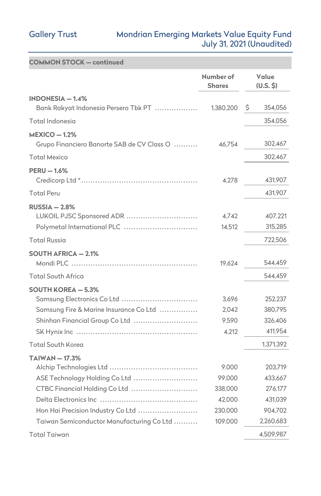### Gallery Trust Mondrian Emerging Markets Value Equity Fund July 31, 2021 (Unaudited)

| <b>COMMON STOCK - continued</b>                                                                                                     |                                                 |                                                     |
|-------------------------------------------------------------------------------------------------------------------------------------|-------------------------------------------------|-----------------------------------------------------|
|                                                                                                                                     | Number of<br><b>Shares</b>                      | Value<br>(U.S. \$)                                  |
| $INDONESIA - 1.4%$<br>Bank Rakyat Indonesia Persero Tbk PT                                                                          | 1,380,200                                       | Ş<br>354,056                                        |
| Total Indonesia                                                                                                                     |                                                 | 354,056                                             |
| $MEXICO - 1.2%$<br>Grupo Financiero Banorte SAB de CV Class O                                                                       | 46,754                                          | 302,467                                             |
| <b>Total Mexico</b>                                                                                                                 |                                                 | 302,467                                             |
| $PERU - 1.6%$                                                                                                                       | 4,278                                           | 431,907                                             |
| <b>Total Peru</b>                                                                                                                   |                                                 | 431,907                                             |
| $RUSSIA - 2.8%$<br>LUKOIL PJSC Sponsored ADR<br>Polymetal International PLC                                                         | 4,742<br>14,512                                 | 407,221<br>315,285                                  |
| <b>Total Russia</b>                                                                                                                 |                                                 | 722,506                                             |
| <b>SOUTH AFRICA - 2.1%</b><br><b>Total South Africa</b>                                                                             | 19,624                                          | 544,459<br>544,459                                  |
| <b>SOUTH KOREA - 5.3%</b><br>Samsung Electronics Co Ltd<br>Samsung Fire & Marine Insurance Co Ltd<br>Shinhan Financial Group Co Ltd | 3,696<br>2,042<br>9,590<br>4,212                | 252,237<br>380,795<br>326,406<br>411,954            |
| <b>Total South Korea</b>                                                                                                            |                                                 | 1,371,392                                           |
| $TAIWAN - 17.3%$<br>ASE Technology Holding Co Ltd<br>CTBC Financial Holding Co Ltd<br>Hon Hai Precision Industry Co Ltd             | 9,000<br>99,000<br>338,000<br>42,000<br>230,000 | 203,719<br>433,667<br>276,177<br>431,039<br>904,702 |
| Taiwan Semiconductor Manufacturing Co Ltd                                                                                           | 109,000                                         | 2,260,683                                           |
| Total Taiwan                                                                                                                        |                                                 | 4,509,987                                           |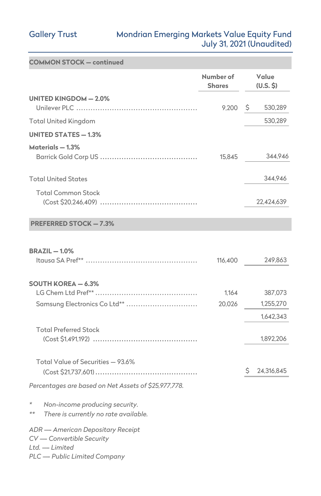# Gallery Trust Mondrian Emerging Markets Value Equity Fund July 31, 2021 (Unaudited)

| <b>COMMON STOCK - continued</b>                                                            |                            |                        |
|--------------------------------------------------------------------------------------------|----------------------------|------------------------|
|                                                                                            | Number of<br><b>Shares</b> | Value<br>(U.S. S)      |
| <b>UNITED KINGDOM - 2.0%</b>                                                               | 9,200                      | Ş<br>530,289           |
| <b>Total United Kingdom</b>                                                                |                            | 530,289                |
| <b>UNITED STATES - 1.3%</b>                                                                |                            |                        |
| Materials - 1.3%                                                                           | 15,845                     | 344.946                |
| <b>Total United States</b>                                                                 |                            | 344,946                |
| <b>Total Common Stock</b>                                                                  |                            | 22,424,639             |
| <b>PREFERRED STOCK - 7.3%</b>                                                              |                            |                        |
| <b>BRAZIL-1.0%</b>                                                                         | 116,400                    | 249,863                |
| <b>SOUTH KOREA - 6.3%</b>                                                                  | 1,164                      | 387,073                |
| Samsung Electronics Co Ltd**                                                               | 20,026                     | 1,255,270              |
| <b>Total Preferred Stock</b>                                                               |                            | 1,642,343<br>1,892,206 |
| Total Value of Securities - 93.6%                                                          |                            | 24,316,845<br>Ş.       |
| Percentages are based on Net Assets of \$25,977,778.                                       |                            |                        |
| $\star$<br>Non-income producing security.<br>$**$<br>There is currently no rate available. |                            |                        |
| <b>ADR</b> - American Depositary Receipt<br>CV - Convertible Security<br>Ltd. - Limited    |                            |                        |

*PLC ---- Public Limited Company*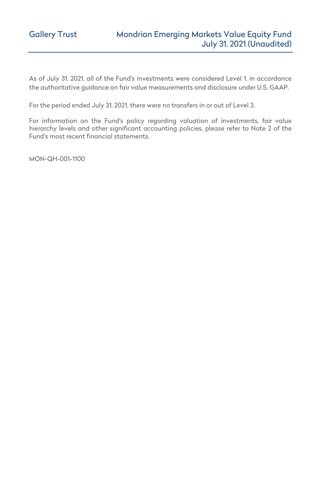As of July 31, 2021, all of the Fund's investments were considered Level 1, in accordance the authoritative guidance on fair value measurements and disclosure under U.S. GAAP.

For the period ended July 31, 2021, there were no transfers in or out of Level 3.

For information on the Fund's policy regarding valuation of investments, fair value hierarchy levels and other significant accounting policies, please refer to Note 2 of the Fund's most recent financial statements.

MON-QH-001-1100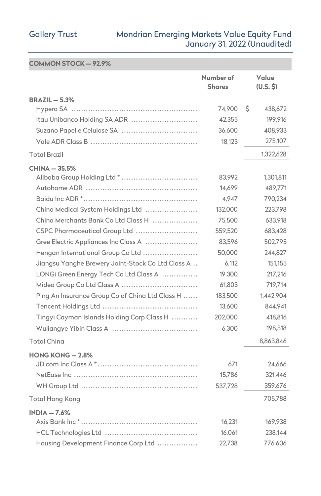### Gallery Trust Mondrian Emerging Markets Value Equity Fund January 31, 2022 (Unaudited)

### **COMMON STOCK — 92.9%**

|                                                   | Number of<br><b>Shares</b> | Value<br>(U.S. \$) |
|---------------------------------------------------|----------------------------|--------------------|
| <b>BRAZIL - 5.3%</b>                              |                            |                    |
|                                                   | 74,900                     | Ŝ<br>438,672       |
| Itau Unibanco Holding SA ADR                      | 42,355                     | 199,916            |
| Suzano Papel e Celulose SA                        | 36,600                     | 408,933            |
|                                                   | 18,123                     | 275,107            |
| <b>Total Brazil</b>                               |                            | 1,322,628          |
| <b>CHINA - 35.5%</b>                              |                            |                    |
|                                                   | 83,992                     | 1,301,811          |
|                                                   | 14,699                     | 489,771            |
|                                                   | 4,947                      | 790,234            |
| China Medical System Holdings Ltd                 | 132,000                    | 223,798            |
| Ching Merchants Bank Co Ltd Class H               | 75,500                     | 633,918            |
| CSPC Pharmaceutical Group Ltd                     | 559,520                    | 683,428            |
| Gree Electric Appliances Inc Class A              | 83,596                     | 502,795            |
| Hengan International Group Co Ltd                 | 50,000                     | 244,827            |
| Jiangsu Yanghe Brewery Joint-Stock Co Ltd Class A | 6,112                      | 151,155            |
| LONGi Green Energy Tech Co Ltd Class A            | 19,300                     | 217.216            |
|                                                   | 61,803                     | 719,714            |
| Ping An Insurance Group Co of China Ltd Class H   | 183,500                    | 1,442,904          |
|                                                   | 13,600                     | 844,941            |
| Tingyi Cayman Islands Holding Corp Class H        | 202,000                    | 418,816            |
|                                                   | 6,300                      | 198,518            |
| <b>Total China</b>                                |                            | 8,863,846          |
| HONG KONG $-2.8\%$                                |                            |                    |
|                                                   | 671                        | 24,666             |
|                                                   | 15,786                     | 321,446            |
|                                                   | 537,728                    | 359,676            |
| Total Hong Kong                                   |                            | 705.788            |
| $INDIA - 7.6%$                                    |                            |                    |
|                                                   | 16,231                     | 169,938            |
|                                                   | 16,061                     | 238,144            |
| Housing Development Finance Corp Ltd              | 22,738                     | 776,606            |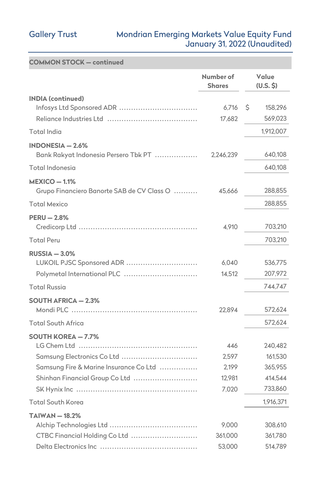# Gallery Trust Mondrian Emerging Markets Value Equity Fund January 31, 2022 (Unaudited)

| <b>COMMON STOCK - continued</b>                                                                                                                    |                                          |    |                                                     |
|----------------------------------------------------------------------------------------------------------------------------------------------------|------------------------------------------|----|-----------------------------------------------------|
|                                                                                                                                                    | Number of<br><b>Shares</b>               |    |                                                     |
| <b>INDIA (continued)</b><br>Infosys Ltd Sponsored ADR                                                                                              | 6,716<br>17,682                          | \$ | 158,296<br>569,023                                  |
| Total India                                                                                                                                        |                                          |    | 1,912,007                                           |
| $INDONESIA - 2.6%$<br>Bank Rakyat Indonesia Persero Tbk PT                                                                                         | 2,246,239                                |    | 640,108                                             |
| Total Indonesia                                                                                                                                    |                                          |    | 640,108                                             |
| $MEXICO - 1.1%$<br>Grupo Financiero Banorte SAB de CV Class O                                                                                      | 45,666                                   |    | 288,855                                             |
| <b>Total Mexico</b>                                                                                                                                |                                          |    | 288,855                                             |
| <b>PERU - 2.8%</b>                                                                                                                                 | 4,910                                    |    | 703,210                                             |
| <b>Total Peru</b>                                                                                                                                  |                                          |    | 703,210                                             |
| $RUSSIA - 3.0%$<br>LUKOIL PJSC Sponsored ADR<br>Polymetal International PLC                                                                        | 6,040<br>14,512                          |    | 536,775<br>207,972                                  |
| <b>Total Russia</b>                                                                                                                                |                                          |    | 744,747                                             |
| <b>SOUTH AFRICA - 2.3%</b>                                                                                                                         | 22,894                                   |    | 572,624                                             |
| <b>Total South Africa</b>                                                                                                                          |                                          |    | 572,624                                             |
| <b>SOUTH KOREA - 7.7%</b><br>LG Chem Ltd<br>Samsung Electronics Co Ltd<br>Samsung Fire & Marine Insurance Co Ltd<br>Shinhan Financial Group Co Ltd | 446<br>2,597<br>2,199<br>12,981<br>7,020 |    | 240,482<br>161,530<br>365,955<br>414,544<br>733,860 |
| <b>Total South Korea</b>                                                                                                                           |                                          |    | 1,916,371                                           |
| $TAIWAN - 18.2%$<br>CTBC Financial Holding Co Ltd                                                                                                  | 9,000<br>361,000                         |    | 308,610<br>361,780                                  |
|                                                                                                                                                    | 53,000                                   |    | 514,789                                             |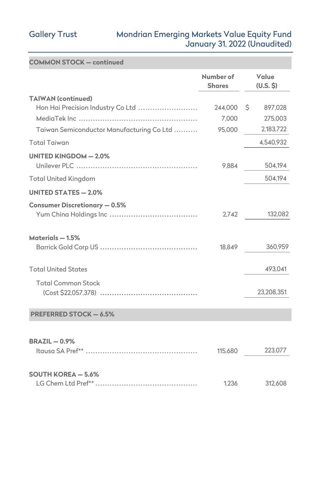### Gallery Trust Mondrian Emerging Markets Value Equity Fund January 31, 2022 (Unaudited)

| <b>COMMON STOCK - continued</b>           |                            |                    |
|-------------------------------------------|----------------------------|--------------------|
|                                           | Number of<br><b>Shares</b> | Value<br>(U.S. \$) |
| <b>TAIWAN (continued)</b>                 |                            |                    |
| Hon Hai Precision Industry Co Ltd         | 244,000                    | \$<br>897,028      |
|                                           | 7,000                      | 275,003            |
| Taiwan Semiconductor Manufacturing Co Ltd | 95,000                     | 2,183,722          |
| <b>Total Taiwan</b>                       |                            | 4,540,932          |
| <b>UNITED KINGDOM - 2.0%</b>              |                            |                    |
|                                           | 9.884                      | 504,194            |
| <b>Total United Kingdom</b>               |                            | 504,194            |
| <b>UNITED STATES - 2.0%</b>               |                            |                    |
| <b>Consumer Discretionary - 0.5%</b>      |                            |                    |
|                                           | 2,742                      | 132,082            |
| Materials - 1.5%                          |                            |                    |
|                                           | 18,849                     | 360,959            |
| <b>Total United States</b>                |                            | 493,041            |
| <b>Total Common Stock</b>                 |                            |                    |
|                                           |                            | 23,208,351         |
| <b>PREFERRED STOCK - 6.5%</b>             |                            |                    |
|                                           |                            |                    |
| <b>BRAZIL-0.9%</b>                        |                            |                    |
|                                           | 115,680                    | 223,077            |
| <b>SOUTH KOREA - 5.6%</b>                 |                            |                    |
|                                           | 1.236                      | 312,608            |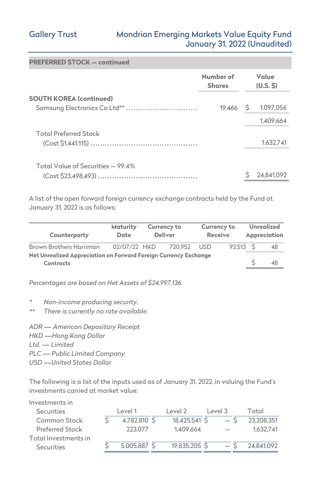# Gallery Trust Mondrian Emerging Markets Value Equity Fund January 31, 2022 (Unaudited)

| <b>PREFERRED STOCK - continued</b> |                            |                   |            |
|------------------------------------|----------------------------|-------------------|------------|
|                                    | Number of<br><b>Shares</b> | Value<br>(U.S. S) |            |
| <b>SOUTH KOREA (continued)</b>     |                            |                   |            |
| Samsung Electronics Co Ltd**       | 19,466                     | Ş                 | 1,097,056  |
|                                    |                            |                   | 1,409,664  |
| <b>Total Preferred Stock</b>       |                            |                   |            |
|                                    |                            |                   | 1.632.741  |
|                                    |                            |                   |            |
| Total Value of Securities - 99.4%  |                            |                   |            |
|                                    |                            |                   | 24.841.092 |

A list of the open forward foreign currency exchange contracts held by the Fund at January 31, 2022 is as follows:

| Counterparty                                                                  | Maturity<br><b>Currency to</b><br><b>Deliver</b><br>Date |  | <b>Currency to</b><br><b>Receive</b> |      | <b>Unrealized</b><br>Appreciation |  |    |
|-------------------------------------------------------------------------------|----------------------------------------------------------|--|--------------------------------------|------|-----------------------------------|--|----|
| <b>Brown Brothers Harriman</b>                                                | 02/07/22 HKD                                             |  | 720.952                              | USD. | $92.513$ \$                       |  | 48 |
| Net Unrealized Appreciation on Forward Foreign Currency Exchange<br>Contracts |                                                          |  |                                      |      |                                   |  | 48 |

*Percentages are based on Net Assets of \$24,997,136.* 

- *\* Non-income producing security.*
- *\*\* There is currently no rate available.*

*ADR ---- American Depositary Receipt HKD ----Hong Kong Dollar*  Ltd. --- Limited *PLC ---- Public Limited Company USD ----United States Dollar* 

The following is a list of the inputs used as of January 31, 2022, in valuing the Fund's investments carried at market value:

| Investments in       |                |               |         |            |
|----------------------|----------------|---------------|---------|------------|
| Securities           | Level 1        | Level 2       | Level 3 | Total      |
| Common Stock         | 4.782.810 S    | 18,425,541 \$ | — S     | 23.208.351 |
| Preferred Stock      | 223,077        | 1.409.664     |         | 1.632.741  |
| Total Investments in |                |               |         |            |
| Securities           | $5,005,887$ \$ | 19.835,205 S  |         | 24.841.092 |